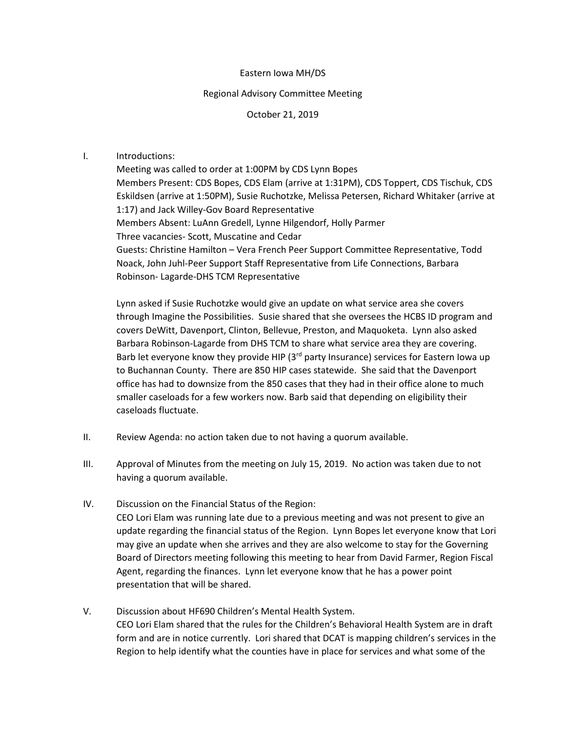#### Eastern Iowa MH/DS

## Regional Advisory Committee Meeting

## October 21, 2019

## I. Introductions:

Meeting was called to order at 1:00PM by CDS Lynn Bopes Members Present: CDS Bopes, CDS Elam (arrive at 1:31PM), CDS Toppert, CDS Tischuk, CDS Eskildsen (arrive at 1:50PM), Susie Ruchotzke, Melissa Petersen, Richard Whitaker (arrive at 1:17) and Jack Willey-Gov Board Representative Members Absent: LuAnn Gredell, Lynne Hilgendorf, Holly Parmer Three vacancies- Scott, Muscatine and Cedar Guests: Christine Hamilton – Vera French Peer Support Committee Representative, Todd Noack, John Juhl-Peer Support Staff Representative from Life Connections, Barbara Robinson- Lagarde-DHS TCM Representative

Lynn asked if Susie Ruchotzke would give an update on what service area she covers through Imagine the Possibilities. Susie shared that she oversees the HCBS ID program and covers DeWitt, Davenport, Clinton, Bellevue, Preston, and Maquoketa. Lynn also asked Barbara Robinson-Lagarde from DHS TCM to share what service area they are covering. Barb let everyone know they provide HIP (3<sup>rd</sup> party Insurance) services for Eastern Iowa up to Buchannan County. There are 850 HIP cases statewide. She said that the Davenport office has had to downsize from the 850 cases that they had in their office alone to much smaller caseloads for a few workers now. Barb said that depending on eligibility their caseloads fluctuate.

- II. Review Agenda: no action taken due to not having a quorum available.
- III. Approval of Minutes from the meeting on July 15, 2019. No action was taken due to not having a quorum available.
- IV. Discussion on the Financial Status of the Region: CEO Lori Elam was running late due to a previous meeting and was not present to give an update regarding the financial status of the Region. Lynn Bopes let everyone know that Lori may give an update when she arrives and they are also welcome to stay for the Governing Board of Directors meeting following this meeting to hear from David Farmer, Region Fiscal Agent, regarding the finances. Lynn let everyone know that he has a power point presentation that will be shared.
- V. Discussion about HF690 Children's Mental Health System. CEO Lori Elam shared that the rules for the Children's Behavioral Health System are in draft form and are in notice currently. Lori shared that DCAT is mapping children's services in the Region to help identify what the counties have in place for services and what some of the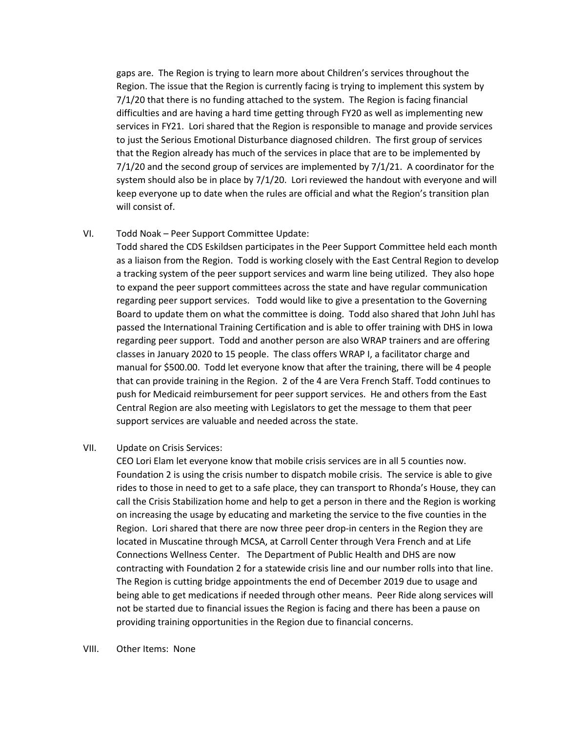gaps are. The Region is trying to learn more about Children's services throughout the Region. The issue that the Region is currently facing is trying to implement this system by 7/1/20 that there is no funding attached to the system. The Region is facing financial difficulties and are having a hard time getting through FY20 as well as implementing new services in FY21. Lori shared that the Region is responsible to manage and provide services to just the Serious Emotional Disturbance diagnosed children. The first group of services that the Region already has much of the services in place that are to be implemented by 7/1/20 and the second group of services are implemented by 7/1/21. A coordinator for the system should also be in place by  $7/1/20$ . Lori reviewed the handout with everyone and will keep everyone up to date when the rules are official and what the Region's transition plan will consist of.

# VI. Todd Noak – Peer Support Committee Update:

Todd shared the CDS Eskildsen participates in the Peer Support Committee held each month as a liaison from the Region. Todd is working closely with the East Central Region to develop a tracking system of the peer support services and warm line being utilized. They also hope to expand the peer support committees across the state and have regular communication regarding peer support services. Todd would like to give a presentation to the Governing Board to update them on what the committee is doing. Todd also shared that John Juhl has passed the International Training Certification and is able to offer training with DHS in Iowa regarding peer support. Todd and another person are also WRAP trainers and are offering classes in January 2020 to 15 people. The class offers WRAP I, a facilitator charge and manual for \$500.00. Todd let everyone know that after the training, there will be 4 people that can provide training in the Region. 2 of the 4 are Vera French Staff. Todd continues to push for Medicaid reimbursement for peer support services. He and others from the East Central Region are also meeting with Legislators to get the message to them that peer support services are valuable and needed across the state.

# VII. Update on Crisis Services:

CEO Lori Elam let everyone know that mobile crisis services are in all 5 counties now. Foundation 2 is using the crisis number to dispatch mobile crisis. The service is able to give rides to those in need to get to a safe place, they can transport to Rhonda's House, they can call the Crisis Stabilization home and help to get a person in there and the Region is working on increasing the usage by educating and marketing the service to the five counties in the Region. Lori shared that there are now three peer drop-in centers in the Region they are located in Muscatine through MCSA, at Carroll Center through Vera French and at Life Connections Wellness Center. The Department of Public Health and DHS are now contracting with Foundation 2 for a statewide crisis line and our number rolls into that line. The Region is cutting bridge appointments the end of December 2019 due to usage and being able to get medications if needed through other means. Peer Ride along services will not be started due to financial issues the Region is facing and there has been a pause on providing training opportunities in the Region due to financial concerns.

#### VIII. Other Items: None